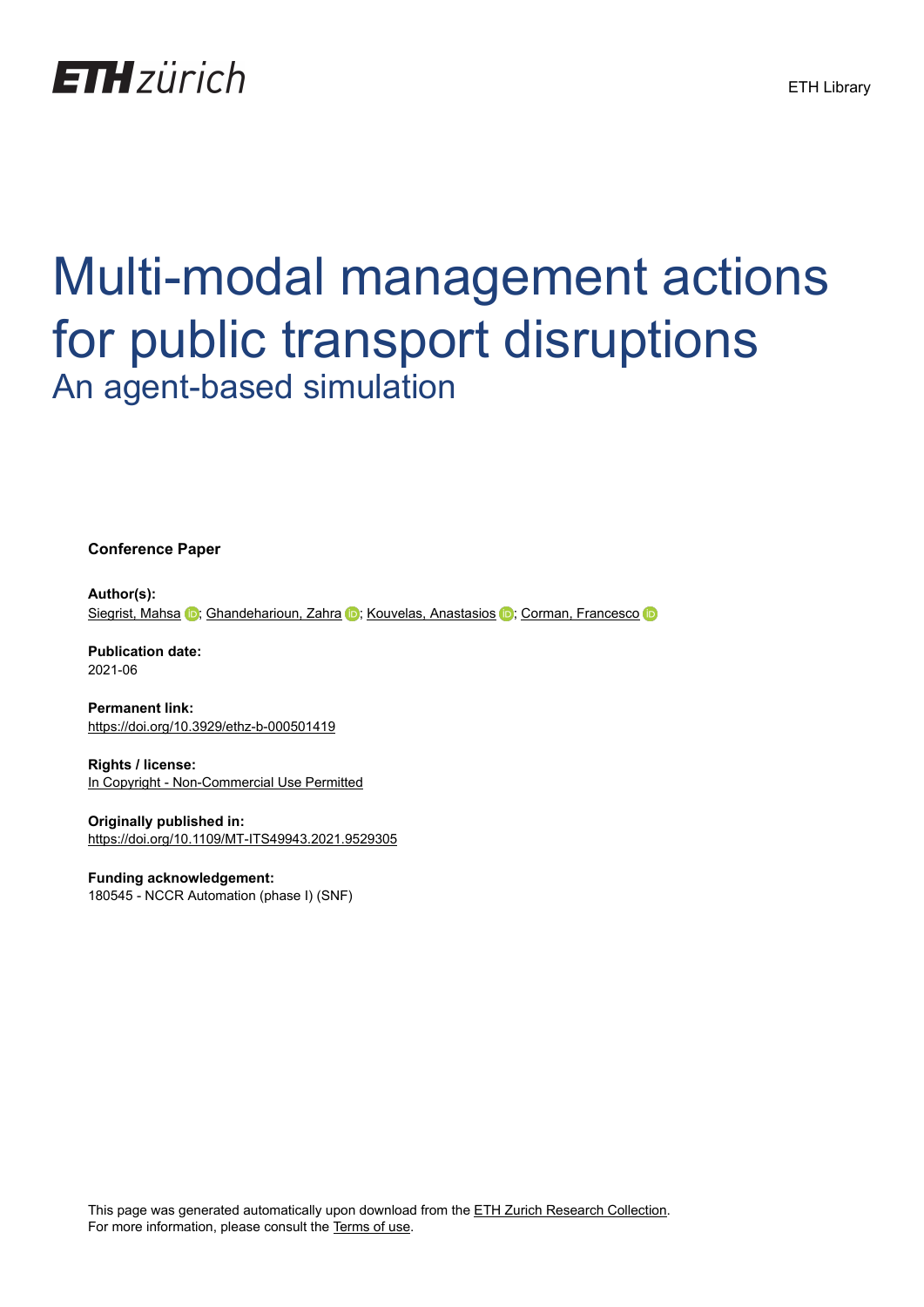

# Multi-modal management actions for public transport disruptions An agent-based simulation

**Conference Paper**

**Author(s):** [Siegrist, Mahsa](https://orcid.org/0000-0003-2871-3056) **in**; [Ghandeharioun, Zahra](https://orcid.org/0000-0003-1500-5077) **in:** [Kouvelas, Anastasios](https://orcid.org/0000-0003-4571-2530) **in:** [Corman, Francesco](https://orcid.org/0000-0002-6036-5832) **in:** 

**Publication date:** 2021-06

**Permanent link:** <https://doi.org/10.3929/ethz-b-000501419>

**Rights / license:** [In Copyright - Non-Commercial Use Permitted](http://rightsstatements.org/page/InC-NC/1.0/)

**Originally published in:** <https://doi.org/10.1109/MT-ITS49943.2021.9529305>

# **Funding acknowledgement:**

180545 - NCCR Automation (phase I) (SNF)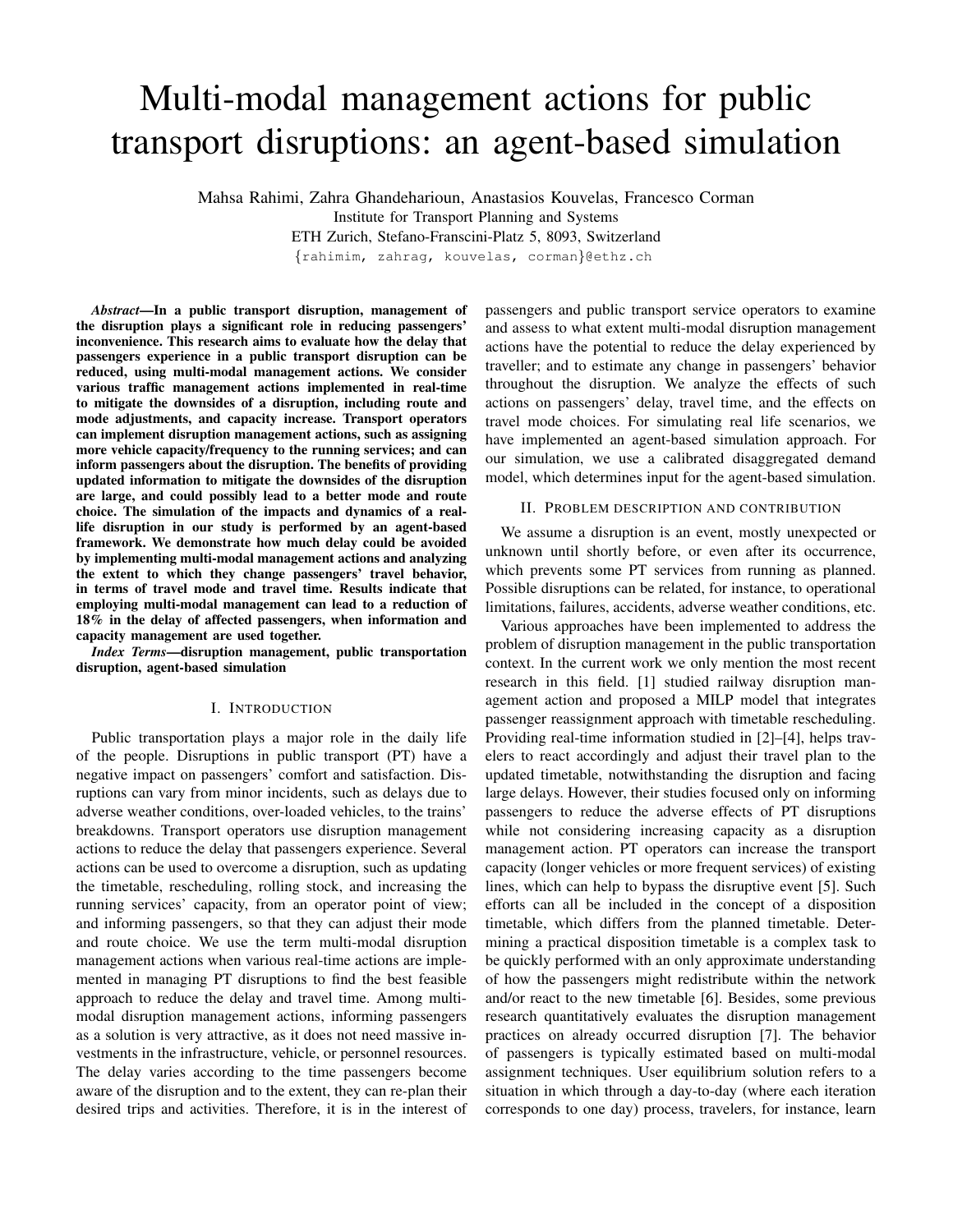# Multi-modal management actions for public transport disruptions: an agent-based simulation

Mahsa Rahimi, Zahra Ghandeharioun, Anastasios Kouvelas, Francesco Corman Institute for Transport Planning and Systems ETH Zurich, Stefano-Franscini-Platz 5, 8093, Switzerland

{rahimim, zahrag, kouvelas, corman}@ethz.ch

*Abstract*—In a public transport disruption, management of the disruption plays a significant role in reducing passengers' inconvenience. This research aims to evaluate how the delay that passengers experience in a public transport disruption can be reduced, using multi-modal management actions. We consider various traffic management actions implemented in real-time to mitigate the downsides of a disruption, including route and mode adjustments, and capacity increase. Transport operators can implement disruption management actions, such as assigning more vehicle capacity/frequency to the running services; and can inform passengers about the disruption. The benefits of providing updated information to mitigate the downsides of the disruption are large, and could possibly lead to a better mode and route choice. The simulation of the impacts and dynamics of a reallife disruption in our study is performed by an agent-based framework. We demonstrate how much delay could be avoided by implementing multi-modal management actions and analyzing the extent to which they change passengers' travel behavior, in terms of travel mode and travel time. Results indicate that employing multi-modal management can lead to a reduction of 18% in the delay of affected passengers, when information and capacity management are used together.

*Index Terms*—disruption management, public transportation disruption, agent-based simulation

#### I. INTRODUCTION

Public transportation plays a major role in the daily life of the people. Disruptions in public transport (PT) have a negative impact on passengers' comfort and satisfaction. Disruptions can vary from minor incidents, such as delays due to adverse weather conditions, over-loaded vehicles, to the trains' breakdowns. Transport operators use disruption management actions to reduce the delay that passengers experience. Several actions can be used to overcome a disruption, such as updating the timetable, rescheduling, rolling stock, and increasing the running services' capacity, from an operator point of view; and informing passengers, so that they can adjust their mode and route choice. We use the term multi-modal disruption management actions when various real-time actions are implemented in managing PT disruptions to find the best feasible approach to reduce the delay and travel time. Among multimodal disruption management actions, informing passengers as a solution is very attractive, as it does not need massive investments in the infrastructure, vehicle, or personnel resources. The delay varies according to the time passengers become aware of the disruption and to the extent, they can re-plan their desired trips and activities. Therefore, it is in the interest of passengers and public transport service operators to examine and assess to what extent multi-modal disruption management actions have the potential to reduce the delay experienced by traveller; and to estimate any change in passengers' behavior throughout the disruption. We analyze the effects of such actions on passengers' delay, travel time, and the effects on travel mode choices. For simulating real life scenarios, we have implemented an agent-based simulation approach. For our simulation, we use a calibrated disaggregated demand model, which determines input for the agent-based simulation.

#### II. PROBLEM DESCRIPTION AND CONTRIBUTION

We assume a disruption is an event, mostly unexpected or unknown until shortly before, or even after its occurrence, which prevents some PT services from running as planned. Possible disruptions can be related, for instance, to operational limitations, failures, accidents, adverse weather conditions, etc.

Various approaches have been implemented to address the problem of disruption management in the public transportation context. In the current work we only mention the most recent research in this field. [1] studied railway disruption management action and proposed a MILP model that integrates passenger reassignment approach with timetable rescheduling. Providing real-time information studied in [2]–[4], helps travelers to react accordingly and adjust their travel plan to the updated timetable, notwithstanding the disruption and facing large delays. However, their studies focused only on informing passengers to reduce the adverse effects of PT disruptions while not considering increasing capacity as a disruption management action. PT operators can increase the transport capacity (longer vehicles or more frequent services) of existing lines, which can help to bypass the disruptive event [5]. Such efforts can all be included in the concept of a disposition timetable, which differs from the planned timetable. Determining a practical disposition timetable is a complex task to be quickly performed with an only approximate understanding of how the passengers might redistribute within the network and/or react to the new timetable [6]. Besides, some previous research quantitatively evaluates the disruption management practices on already occurred disruption [7]. The behavior of passengers is typically estimated based on multi-modal assignment techniques. User equilibrium solution refers to a situation in which through a day-to-day (where each iteration corresponds to one day) process, travelers, for instance, learn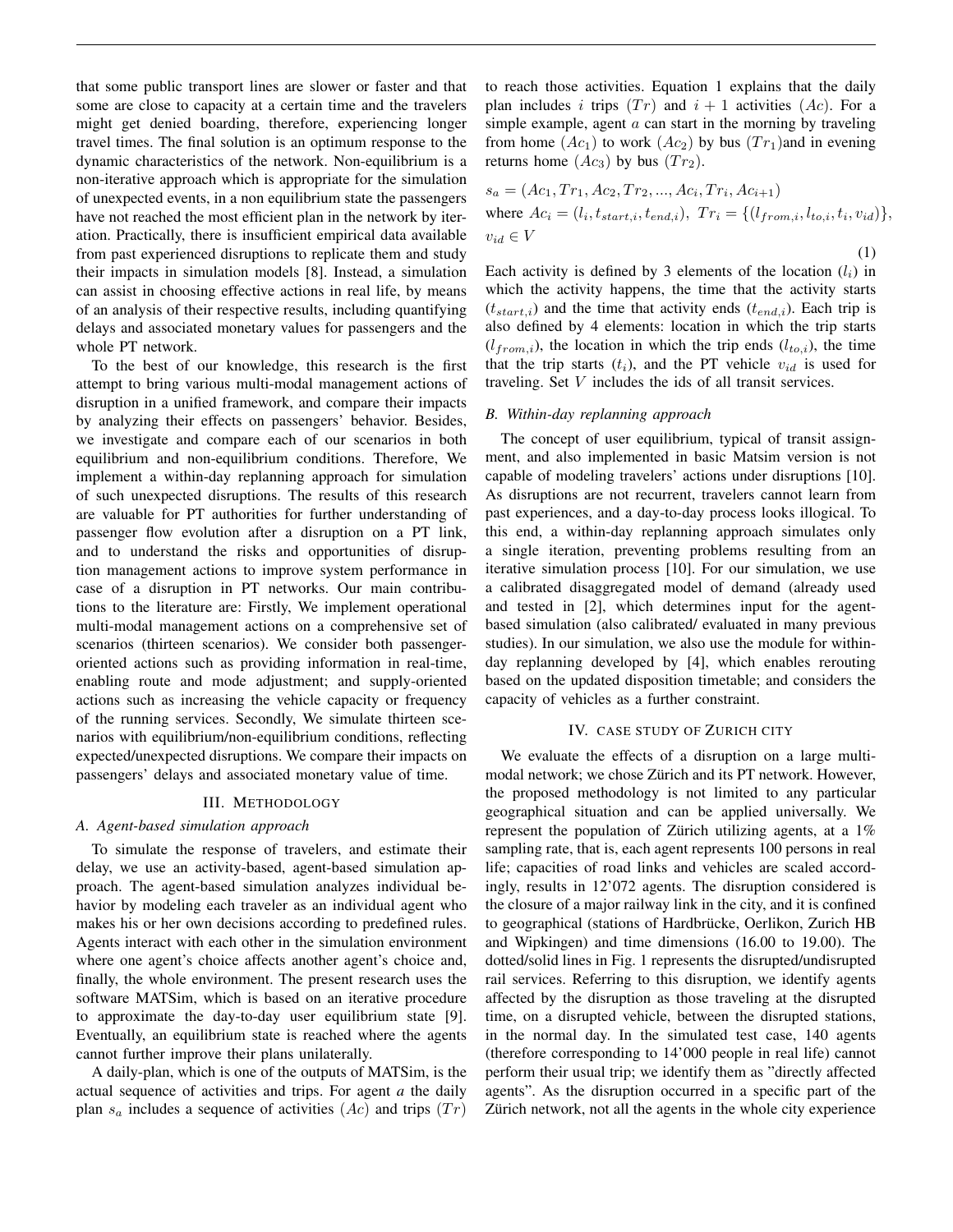that some public transport lines are slower or faster and that some are close to capacity at a certain time and the travelers might get denied boarding, therefore, experiencing longer travel times. The final solution is an optimum response to the dynamic characteristics of the network. Non-equilibrium is a non-iterative approach which is appropriate for the simulation of unexpected events, in a non equilibrium state the passengers have not reached the most efficient plan in the network by iteration. Practically, there is insufficient empirical data available from past experienced disruptions to replicate them and study their impacts in simulation models [8]. Instead, a simulation can assist in choosing effective actions in real life, by means of an analysis of their respective results, including quantifying delays and associated monetary values for passengers and the whole PT network.

To the best of our knowledge, this research is the first attempt to bring various multi-modal management actions of disruption in a unified framework, and compare their impacts by analyzing their effects on passengers' behavior. Besides, we investigate and compare each of our scenarios in both equilibrium and non-equilibrium conditions. Therefore, We implement a within-day replanning approach for simulation of such unexpected disruptions. The results of this research are valuable for PT authorities for further understanding of passenger flow evolution after a disruption on a PT link, and to understand the risks and opportunities of disruption management actions to improve system performance in case of a disruption in PT networks. Our main contributions to the literature are: Firstly, We implement operational multi-modal management actions on a comprehensive set of scenarios (thirteen scenarios). We consider both passengeroriented actions such as providing information in real-time, enabling route and mode adjustment; and supply-oriented actions such as increasing the vehicle capacity or frequency of the running services. Secondly, We simulate thirteen scenarios with equilibrium/non-equilibrium conditions, reflecting expected/unexpected disruptions. We compare their impacts on passengers' delays and associated monetary value of time.

#### III. METHODOLOGY

#### *A. Agent-based simulation approach*

To simulate the response of travelers, and estimate their delay, we use an activity-based, agent-based simulation approach. The agent-based simulation analyzes individual behavior by modeling each traveler as an individual agent who makes his or her own decisions according to predefined rules. Agents interact with each other in the simulation environment where one agent's choice affects another agent's choice and, finally, the whole environment. The present research uses the software MATSim, which is based on an iterative procedure to approximate the day-to-day user equilibrium state [9]. Eventually, an equilibrium state is reached where the agents cannot further improve their plans unilaterally.

A daily-plan, which is one of the outputs of MATSim, is the actual sequence of activities and trips. For agent *a* the daily plan  $s_a$  includes a sequence of activities  $(Ac)$  and trips  $(Tr)$  to reach those activities. Equation 1 explains that the daily plan includes i trips  $(Tr)$  and  $i + 1$  activities  $(Ac)$ . For a simple example, agent  $a$  can start in the morning by traveling from home  $(Ac_1)$  to work  $(Ac_2)$  by bus  $(Tr_1)$  and in evening returns home  $(Ac_3)$  by bus  $(Tr_2)$ .

$$
s_a = (Ac_1, Tr_1, Ac_2, Tr_2, ..., Ac_i, Tr_i, Ac_{i+1})
$$
  
where  $Ac_i = (l_i, t_{start,i}, t_{end,i}), Tr_i = \{(l_{from,i}, l_{to,i}, t_i, v_{id})\},$   

$$
v_{id} \in V
$$
 (1)

Each activity is defined by 3 elements of the location  $(l_i)$  in which the activity happens, the time that the activity starts  $(t<sub>start,i</sub>)$  and the time that activity ends  $(t<sub>end,i</sub>)$ . Each trip is also defined by 4 elements: location in which the trip starts  $(l_{from,i})$ , the location in which the trip ends  $(l_{to,i})$ , the time that the trip starts  $(t_i)$ , and the PT vehicle  $v_{id}$  is used for traveling. Set V includes the ids of all transit services.

#### *B. Within-day replanning approach*

The concept of user equilibrium, typical of transit assignment, and also implemented in basic Matsim version is not capable of modeling travelers' actions under disruptions [10]. As disruptions are not recurrent, travelers cannot learn from past experiences, and a day-to-day process looks illogical. To this end, a within-day replanning approach simulates only a single iteration, preventing problems resulting from an iterative simulation process [10]. For our simulation, we use a calibrated disaggregated model of demand (already used and tested in [2], which determines input for the agentbased simulation (also calibrated/ evaluated in many previous studies). In our simulation, we also use the module for withinday replanning developed by [4], which enables rerouting based on the updated disposition timetable; and considers the capacity of vehicles as a further constraint.

#### IV. CASE STUDY OF ZURICH CITY

We evaluate the effects of a disruption on a large multimodal network; we chose Zürich and its PT network. However, the proposed methodology is not limited to any particular geographical situation and can be applied universally. We represent the population of Zürich utilizing agents, at a  $1\%$ sampling rate, that is, each agent represents 100 persons in real life; capacities of road links and vehicles are scaled accordingly, results in 12'072 agents. The disruption considered is the closure of a major railway link in the city, and it is confined to geographical (stations of Hardbrücke, Oerlikon, Zurich HB and Wipkingen) and time dimensions (16.00 to 19.00). The dotted/solid lines in Fig. 1 represents the disrupted/undisrupted rail services. Referring to this disruption, we identify agents affected by the disruption as those traveling at the disrupted time, on a disrupted vehicle, between the disrupted stations, in the normal day. In the simulated test case, 140 agents (therefore corresponding to 14'000 people in real life) cannot perform their usual trip; we identify them as "directly affected agents". As the disruption occurred in a specific part of the Zürich network, not all the agents in the whole city experience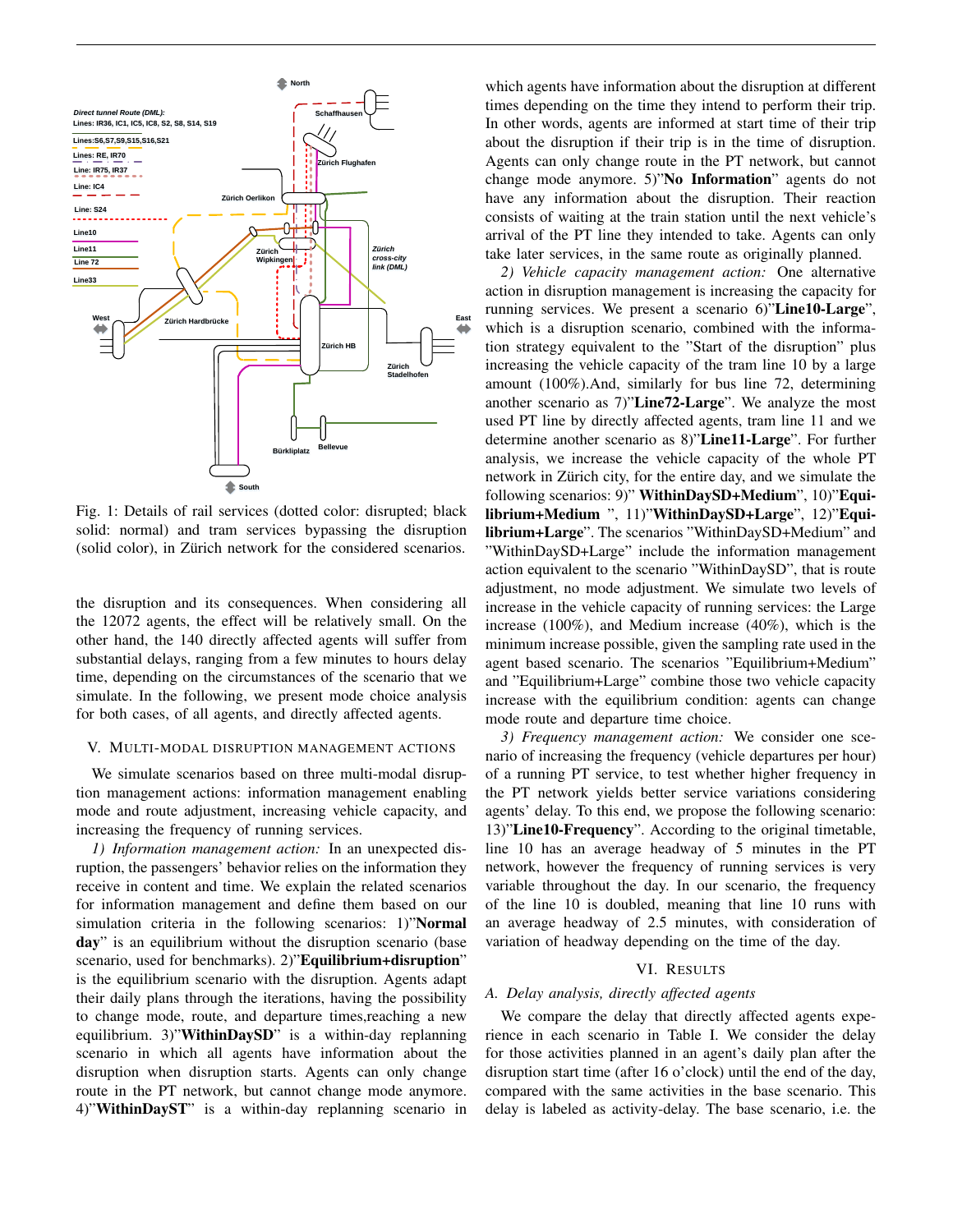

Fig. 1: Details of rail services (dotted color: disrupted; black solid: normal) and tram services bypassing the disruption (solid color), in Zürich network for the considered scenarios.

the disruption and its consequences. When considering all the 12072 agents, the effect will be relatively small. On the other hand, the 140 directly affected agents will suffer from substantial delays, ranging from a few minutes to hours delay time, depending on the circumstances of the scenario that we simulate. In the following, we present mode choice analysis for both cases, of all agents, and directly affected agents.

## V. MULTI-MODAL DISRUPTION MANAGEMENT ACTIONS

We simulate scenarios based on three multi-modal disruption management actions: information management enabling mode and route adjustment, increasing vehicle capacity, and increasing the frequency of running services.

*1) Information management action:* In an unexpected disruption, the passengers' behavior relies on the information they receive in content and time. We explain the related scenarios for information management and define them based on our simulation criteria in the following scenarios: 1)"Normal day" is an equilibrium without the disruption scenario (base scenario, used for benchmarks). 2)"Equilibrium+disruption" is the equilibrium scenario with the disruption. Agents adapt their daily plans through the iterations, having the possibility to change mode, route, and departure times,reaching a new equilibrium. 3)"WithinDaySD" is a within-day replanning scenario in which all agents have information about the disruption when disruption starts. Agents can only change route in the PT network, but cannot change mode anymore. 4)"WithinDayST" is a within-day replanning scenario in

which agents have information about the disruption at different times depending on the time they intend to perform their trip. In other words, agents are informed at start time of their trip about the disruption if their trip is in the time of disruption. Agents can only change route in the PT network, but cannot change mode anymore. 5)"No Information" agents do not have any information about the disruption. Their reaction consists of waiting at the train station until the next vehicle's arrival of the PT line they intended to take. Agents can only take later services, in the same route as originally planned.

*2) Vehicle capacity management action:* One alternative action in disruption management is increasing the capacity for running services. We present a scenario 6)"Line10-Large", which is a disruption scenario, combined with the information strategy equivalent to the "Start of the disruption" plus increasing the vehicle capacity of the tram line 10 by a large amount (100%).And, similarly for bus line 72, determining another scenario as 7)"Line72-Large". We analyze the most used PT line by directly affected agents, tram line 11 and we determine another scenario as 8)"Line11-Large". For further analysis, we increase the vehicle capacity of the whole PT network in Zürich city, for the entire day, and we simulate the following scenarios: 9)" WithinDaySD+Medium", 10)"Equilibrium+Medium ", 11)"WithinDaySD+Large", 12)"Equilibrium+Large". The scenarios "WithinDaySD+Medium" and "WithinDaySD+Large" include the information management action equivalent to the scenario "WithinDaySD", that is route adjustment, no mode adjustment. We simulate two levels of increase in the vehicle capacity of running services: the Large increase (100%), and Medium increase (40%), which is the minimum increase possible, given the sampling rate used in the agent based scenario. The scenarios "Equilibrium+Medium" and "Equilibrium+Large" combine those two vehicle capacity increase with the equilibrium condition: agents can change mode route and departure time choice.

*3) Frequency management action:* We consider one scenario of increasing the frequency (vehicle departures per hour) of a running PT service, to test whether higher frequency in the PT network yields better service variations considering agents' delay. To this end, we propose the following scenario: 13)"Line10-Frequency". According to the original timetable, line 10 has an average headway of 5 minutes in the PT network, however the frequency of running services is very variable throughout the day. In our scenario, the frequency of the line 10 is doubled, meaning that line 10 runs with an average headway of 2.5 minutes, with consideration of variation of headway depending on the time of the day.

### VI. RESULTS

## *A. Delay analysis, directly affected agents*

We compare the delay that directly affected agents experience in each scenario in Table I. We consider the delay for those activities planned in an agent's daily plan after the disruption start time (after 16 o'clock) until the end of the day, compared with the same activities in the base scenario. This delay is labeled as activity-delay. The base scenario, i.e. the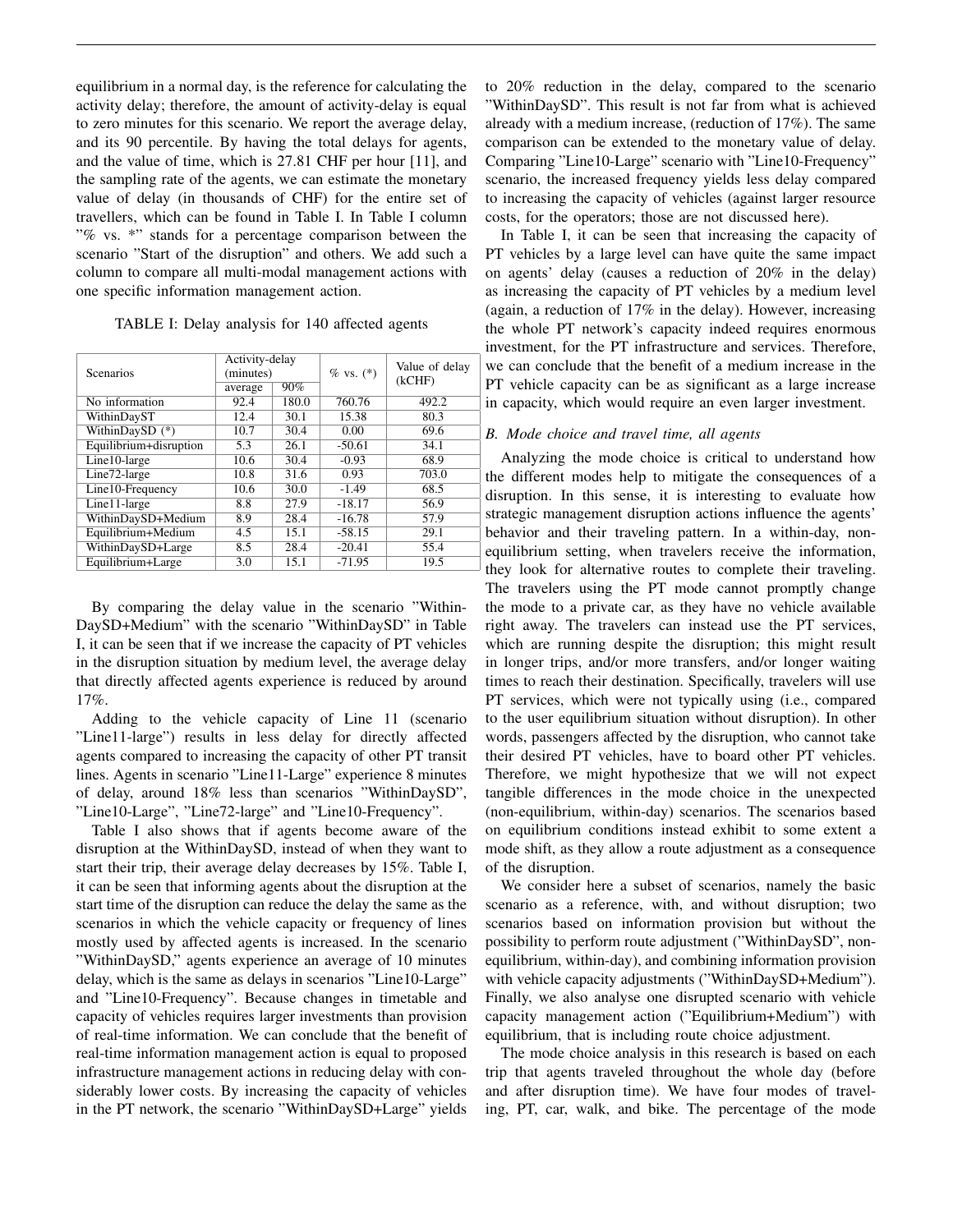equilibrium in a normal day, is the reference for calculating the activity delay; therefore, the amount of activity-delay is equal to zero minutes for this scenario. We report the average delay, and its 90 percentile. By having the total delays for agents, and the value of time, which is 27.81 CHF per hour [11], and the sampling rate of the agents, we can estimate the monetary value of delay (in thousands of CHF) for the entire set of travellers, which can be found in Table I. In Table I column "% vs. \*" stands for a percentage comparison between the scenario "Start of the disruption" and others. We add such a column to compare all multi-modal management actions with one specific information management action.

TABLE I: Delay analysis for 140 affected agents

| <b>Scenarios</b>       | Activity-delay<br>(minutes) |       | $% vs. (*)$ | Value of delay<br>(kCHF) |
|------------------------|-----------------------------|-------|-------------|--------------------------|
|                        | average                     | 90%   |             |                          |
| No information         | 92.4                        | 180.0 | 760.76      | 492.2                    |
| WithinDayST            | 12.4                        | 30.1  | 15.38       | 80.3                     |
| WithinDaySD (*)        | 10.7                        | 30.4  | 0.00        | 69.6                     |
| Equilibrium+disruption | 5.3                         | 26.1  | $-50.61$    | 34.1                     |
| Line10-large           | 10.6                        | 30.4  | $-0.93$     | 68.9                     |
| Line72-large           | 10.8                        | 31.6  | 0.93        | 703.0                    |
| Line10-Frequency       | 10.6                        | 30.0  | $-1.49$     | 68.5                     |
| Line11-large           | 8.8                         | 27.9  | $-18.17$    | 56.9                     |
| WithinDaySD+Medium     | 8.9                         | 28.4  | $-16.78$    | 57.9                     |
| Equilibrium+Medium     | 4.5                         | 15.1  | $-58.15$    | 29.1                     |
| WithinDaySD+Large      | 8.5                         | 28.4  | $-20.41$    | 55.4                     |
| Equilibrium+Large      | 3.0                         | 15.1  | $-71.95$    | 19.5                     |

By comparing the delay value in the scenario "Within-DaySD+Medium" with the scenario "WithinDaySD" in Table I, it can be seen that if we increase the capacity of PT vehicles in the disruption situation by medium level, the average delay that directly affected agents experience is reduced by around 17%.

Adding to the vehicle capacity of Line 11 (scenario "Line11-large") results in less delay for directly affected agents compared to increasing the capacity of other PT transit lines. Agents in scenario "Line11-Large" experience 8 minutes of delay, around 18% less than scenarios "WithinDaySD", "Line10-Large", "Line72-large" and "Line10-Frequency".

Table I also shows that if agents become aware of the disruption at the WithinDaySD, instead of when they want to start their trip, their average delay decreases by 15%. Table I, it can be seen that informing agents about the disruption at the start time of the disruption can reduce the delay the same as the scenarios in which the vehicle capacity or frequency of lines mostly used by affected agents is increased. In the scenario "WithinDaySD," agents experience an average of 10 minutes delay, which is the same as delays in scenarios "Line10-Large" and "Line10-Frequency". Because changes in timetable and capacity of vehicles requires larger investments than provision of real-time information. We can conclude that the benefit of real-time information management action is equal to proposed infrastructure management actions in reducing delay with considerably lower costs. By increasing the capacity of vehicles in the PT network, the scenario "WithinDaySD+Large" yields

to 20% reduction in the delay, compared to the scenario "WithinDaySD". This result is not far from what is achieved already with a medium increase, (reduction of 17%). The same comparison can be extended to the monetary value of delay. Comparing "Line10-Large" scenario with "Line10-Frequency" scenario, the increased frequency yields less delay compared to increasing the capacity of vehicles (against larger resource costs, for the operators; those are not discussed here).

In Table I, it can be seen that increasing the capacity of PT vehicles by a large level can have quite the same impact on agents' delay (causes a reduction of 20% in the delay) as increasing the capacity of PT vehicles by a medium level (again, a reduction of 17% in the delay). However, increasing the whole PT network's capacity indeed requires enormous investment, for the PT infrastructure and services. Therefore, we can conclude that the benefit of a medium increase in the PT vehicle capacity can be as significant as a large increase in capacity, which would require an even larger investment.

# *B. Mode choice and travel time, all agents*

Analyzing the mode choice is critical to understand how the different modes help to mitigate the consequences of a disruption. In this sense, it is interesting to evaluate how strategic management disruption actions influence the agents' behavior and their traveling pattern. In a within-day, nonequilibrium setting, when travelers receive the information, they look for alternative routes to complete their traveling. The travelers using the PT mode cannot promptly change the mode to a private car, as they have no vehicle available right away. The travelers can instead use the PT services, which are running despite the disruption; this might result in longer trips, and/or more transfers, and/or longer waiting times to reach their destination. Specifically, travelers will use PT services, which were not typically using (i.e., compared to the user equilibrium situation without disruption). In other words, passengers affected by the disruption, who cannot take their desired PT vehicles, have to board other PT vehicles. Therefore, we might hypothesize that we will not expect tangible differences in the mode choice in the unexpected (non-equilibrium, within-day) scenarios. The scenarios based on equilibrium conditions instead exhibit to some extent a mode shift, as they allow a route adjustment as a consequence of the disruption.

We consider here a subset of scenarios, namely the basic scenario as a reference, with, and without disruption; two scenarios based on information provision but without the possibility to perform route adjustment ("WithinDaySD", nonequilibrium, within-day), and combining information provision with vehicle capacity adjustments ("WithinDaySD+Medium"). Finally, we also analyse one disrupted scenario with vehicle capacity management action ("Equilibrium+Medium") with equilibrium, that is including route choice adjustment.

The mode choice analysis in this research is based on each trip that agents traveled throughout the whole day (before and after disruption time). We have four modes of traveling, PT, car, walk, and bike. The percentage of the mode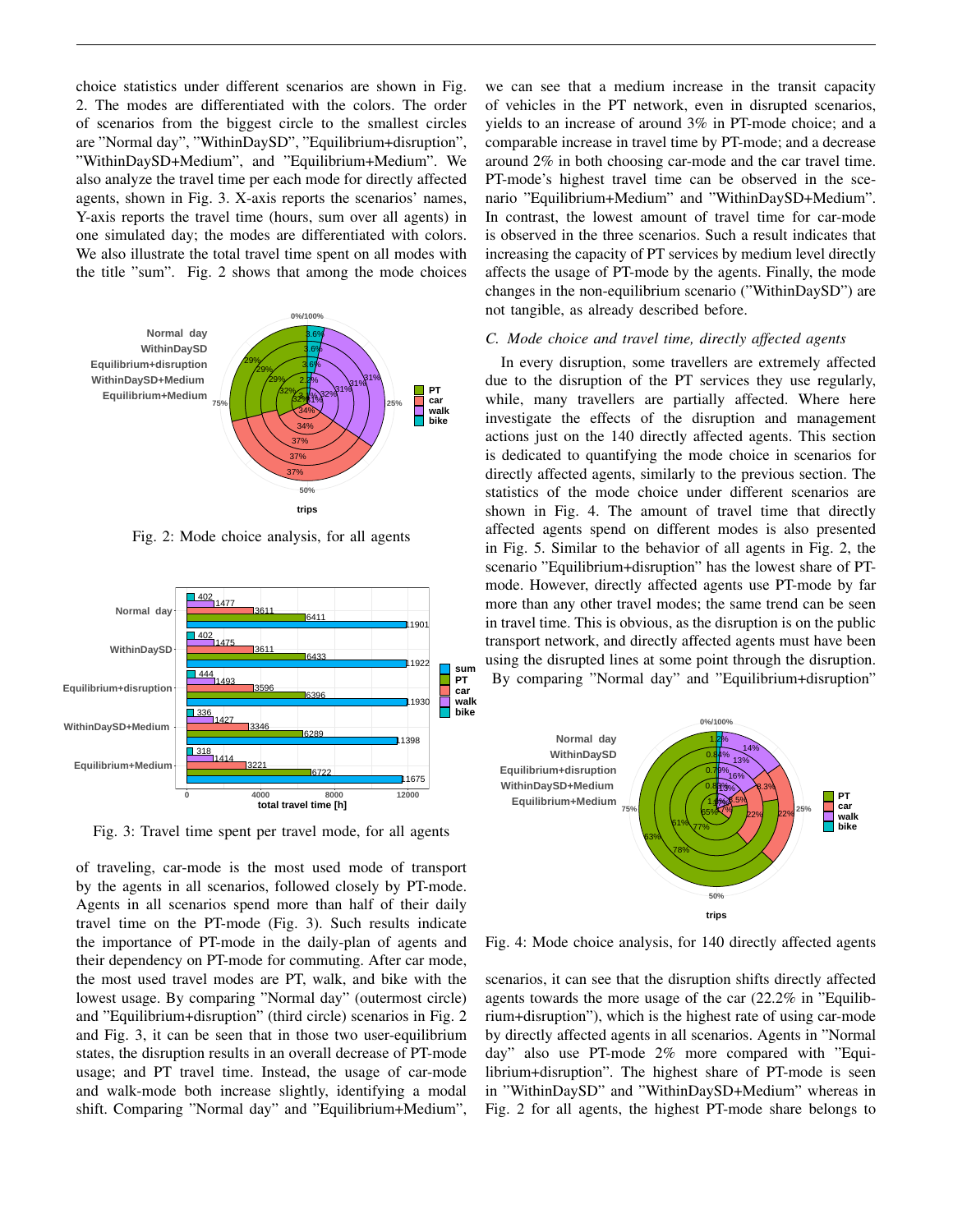choice statistics under different scenarios are shown in Fig. 2. The modes are differentiated with the colors. The order of scenarios from the biggest circle to the smallest circles are "Normal day", "WithinDaySD", "Equilibrium+disruption", "WithinDaySD+Medium", and "Equilibrium+Medium". We also analyze the travel time per each mode for directly affected agents, shown in Fig. 3. X-axis reports the scenarios' names, Y-axis reports the travel time (hours, sum over all agents) in one simulated day; the modes are differentiated with colors. We also illustrate the total travel time spent on all modes with the title "sum". Fig. 2 shows that among the mode choices



Fig. 2: Mode choice analysis, for all agents



Fig. 3: Travel time spent per travel mode, for all agents

of traveling, car-mode is the most used mode of transport by the agents in all scenarios, followed closely by PT-mode. Agents in all scenarios spend more than half of their daily travel time on the PT-mode (Fig. 3). Such results indicate the importance of PT-mode in the daily-plan of agents and their dependency on PT-mode for commuting. After car mode, the most used travel modes are PT, walk, and bike with the lowest usage. By comparing "Normal day" (outermost circle) and "Equilibrium+disruption" (third circle) scenarios in Fig. 2 and Fig. 3, it can be seen that in those two user-equilibrium states, the disruption results in an overall decrease of PT-mode usage; and PT travel time. Instead, the usage of car-mode and walk-mode both increase slightly, identifying a modal shift. Comparing "Normal day" and "Equilibrium+Medium", we can see that a medium increase in the transit capacity of vehicles in the PT network, even in disrupted scenarios, yields to an increase of around 3% in PT-mode choice; and a comparable increase in travel time by PT-mode; and a decrease around 2% in both choosing car-mode and the car travel time. PT-mode's highest travel time can be observed in the scenario "Equilibrium+Medium" and "WithinDaySD+Medium". In contrast, the lowest amount of travel time for car-mode is observed in the three scenarios. Such a result indicates that increasing the capacity of PT services by medium level directly affects the usage of PT-mode by the agents. Finally, the mode changes in the non-equilibrium scenario ("WithinDaySD") are not tangible, as already described before.

#### *C. Mode choice and travel time, directly affected agents*

In every disruption, some travellers are extremely affected due to the disruption of the PT services they use regularly, while, many travellers are partially affected. Where here investigate the effects of the disruption and management actions just on the 140 directly affected agents. This section is dedicated to quantifying the mode choice in scenarios for directly affected agents, similarly to the previous section. The statistics of the mode choice under different scenarios are shown in Fig. 4. The amount of travel time that directly affected agents spend on different modes is also presented in Fig. 5. Similar to the behavior of all agents in Fig. 2, the scenario "Equilibrium+disruption" has the lowest share of PTmode. However, directly affected agents use PT-mode by far more than any other travel modes; the same trend can be seen in travel time. This is obvious, as the disruption is on the public transport network, and directly affected agents must have been using the disrupted lines at some point through the disruption. By comparing "Normal day" and "Equilibrium+disruption"



Fig. 4: Mode choice analysis, for 140 directly affected agents

scenarios, it can see that the disruption shifts directly affected agents towards the more usage of the car (22.2% in "Equilibrium+disruption"), which is the highest rate of using car-mode by directly affected agents in all scenarios. Agents in "Normal day" also use PT-mode 2% more compared with "Equilibrium+disruption". The highest share of PT-mode is seen in "WithinDaySD" and "WithinDaySD+Medium" whereas in Fig. 2 for all agents, the highest PT-mode share belongs to